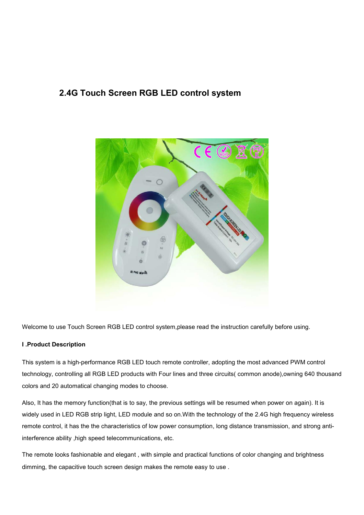# **2.4G Touch Screen RGB LED control system**



Welcome to use Touch Screen RGB LED control system,please read the instruction carefully before using.

#### **I .Product Description**

This system is a high-performance RGB LED touch remote controller, adopting the most advanced PWM control technology, controlling all RGB LED products with Four lines and three circuits( common anode),owning 640 thousand colors and 20 automatical changing modes to choose.

Also, It has the memory function(that is to say, the previous settings will be resumed when power on again). It is widely used in LED RGB strip light, LED module and so on.With the technology of the 2.4G high frequency wireless remote control, it has the the characteristics of low power consumption, long distance transmission, and strong antiinterference ability ,high speed telecommunications, etc.

The remote looks fashionable and elegant , with simple and practical functions of color changing and brightness dimming, the capacitive touch screen design makes the remote easy to use .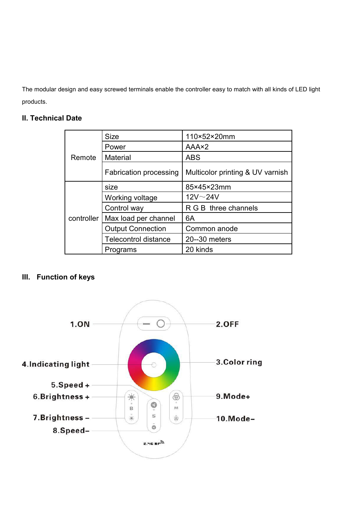The modular design and easy screwed terminals enable the controller easy to match with all kinds of LED light products.

## **II. Technical Date**

| Remote     | <b>Size</b>                   | 110×52×20mm                      |
|------------|-------------------------------|----------------------------------|
|            | Power                         | AAA×2                            |
|            | <b>Material</b>               | <b>ABS</b>                       |
|            | <b>Fabrication processing</b> | Multicolor printing & UV varnish |
| controller | size                          | 85×45×23mm                       |
|            | Working voltage               | $12V \sim 24V$                   |
|            | Control way                   | R G B three channels             |
|            | Max load per channel          | 6A                               |
|            | <b>Output Connection</b>      | Common anode                     |
|            | <b>Telecontrol distance</b>   | 20--30 meters                    |
|            | Programs                      | 20 kinds                         |

## **III. Function of keys**

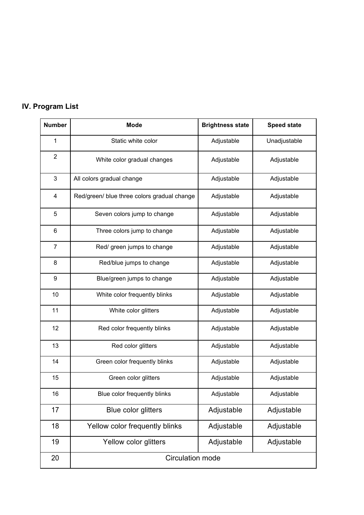# **IV. Program List**

| <b>Number</b>           | <b>Mode</b>                                 | <b>Brightness state</b> | <b>Speed state</b> |
|-------------------------|---------------------------------------------|-------------------------|--------------------|
| 1                       | Static white color                          | Adjustable              | Unadjustable       |
| $\sqrt{2}$              | White color gradual changes                 | Adjustable              | Adjustable         |
| $\sqrt{3}$              | All colors gradual change                   | Adjustable              | Adjustable         |
| $\overline{\mathbf{4}}$ | Red/green/ blue three colors gradual change | Adjustable              | Adjustable         |
| $\mathbf 5$             | Seven colors jump to change                 | Adjustable              | Adjustable         |
| $\,6$                   | Three colors jump to change                 | Adjustable              | Adjustable         |
| $\overline{7}$          | Red/ green jumps to change                  | Adjustable              | Adjustable         |
| $\bf 8$                 | Red/blue jumps to change                    | Adjustable              | Adjustable         |
| $\boldsymbol{9}$        | Blue/green jumps to change                  | Adjustable              | Adjustable         |
| 10                      | White color frequently blinks               | Adjustable              | Adjustable         |
| 11                      | White color glitters                        | Adjustable              | Adjustable         |
| 12                      | Red color frequently blinks                 | Adjustable              | Adjustable         |
| 13                      | Red color glitters                          | Adjustable              | Adjustable         |
| 14                      | Green color frequently blinks               | Adjustable              | Adjustable         |
| 15                      | Green color glitters                        | Adjustable              | Adjustable         |
| 16                      | Blue color frequently blinks                | Adjustable              | Adjustable         |
| 17                      | Blue color glitters                         | Adjustable              | Adjustable         |
| 18                      | Yellow color frequently blinks              | Adjustable              | Adjustable         |
| 19                      | Yellow color glitters                       | Adjustable              | Adjustable         |
| 20                      | <b>Circulation mode</b>                     |                         |                    |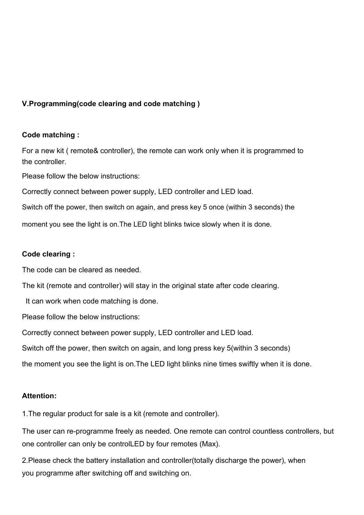## **V.Programming(code clearing and code matching )**

## **Code matching :**

For a new kit ( remote& controller), the remote can work only when it is programmed to the controller.

Please follow the below instructions:

Correctly connect between power supply, LED controller and LED load.

Switch off the power, then switch on again, and press key 5 once (within 3 seconds) the

moment you see the light is on.The LED light blinks twice slowly when it is done.

#### **Code clearing :**

The code can be cleared as needed.

The kit (remote and controller) will stay in the original state after code clearing.

It can work when code matching is done.

Please follow the below instructions:

Correctly connect between power supply, LED controller and LED load.

Switch off the power, then switch on again, and long press key 5(within 3 seconds)

the moment you see the light is on.The LED light blinks nine times swiftly when it is done.

#### **Attention:**

1.The regular product for sale is a kit (remote and controller).

The user can re-programme freely as needed. One remote can control countless controllers, but one controller can only be controlLED by four remotes (Max).

2. Please check the battery installation and controller(totally discharge the power), when you programme after switching off and switching on.